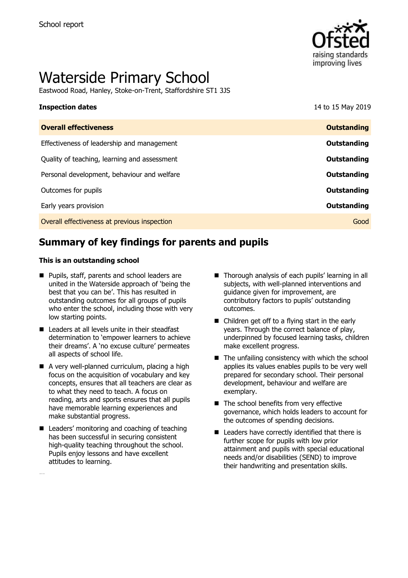

# Waterside Primary School

Eastwood Road, Hanley, Stoke-on-Trent, Staffordshire ST1 3JS

| <b>Inspection dates</b>                      | 14 to 15 May 2019  |
|----------------------------------------------|--------------------|
| <b>Overall effectiveness</b>                 | <b>Outstanding</b> |
| Effectiveness of leadership and management   | Outstanding        |
| Quality of teaching, learning and assessment | Outstanding        |
| Personal development, behaviour and welfare  | Outstanding        |
| Outcomes for pupils                          | Outstanding        |
| Early years provision                        | Outstanding        |
| Overall effectiveness at previous inspection | Good               |

# **Summary of key findings for parents and pupils**

#### **This is an outstanding school**

- **Pupils, staff, parents and school leaders are** united in the Waterside approach of 'being the best that you can be'. This has resulted in outstanding outcomes for all groups of pupils who enter the school, including those with very low starting points.
- Leaders at all levels unite in their steadfast determination to 'empower learners to achieve their dreams'. A 'no excuse culture' permeates all aspects of school life.
- A very well-planned curriculum, placing a high focus on the acquisition of vocabulary and key concepts, ensures that all teachers are clear as to what they need to teach. A focus on reading, arts and sports ensures that all pupils have memorable learning experiences and make substantial progress.
- Leaders' monitoring and coaching of teaching has been successful in securing consistent high-quality teaching throughout the school. Pupils enjoy lessons and have excellent attitudes to learning.

...Applies its values

- Thorough analysis of each pupils' learning in all subjects, with well-planned interventions and guidance given for improvement, are contributory factors to pupils' outstanding outcomes.
- Children get off to a flying start in the early years. Through the correct balance of play, underpinned by focused learning tasks, children make excellent progress.
- $\blacksquare$  The unfailing consistency with which the school applies its values enables pupils to be very well prepared for secondary school. Their personal development, behaviour and welfare are exemplary.
- The school benefits from very effective governance, which holds leaders to account for the outcomes of spending decisions.
- Leaders have correctly identified that there is further scope for pupils with low prior attainment and pupils with special educational needs and/or disabilities (SEND) to improve their handwriting and presentation skills.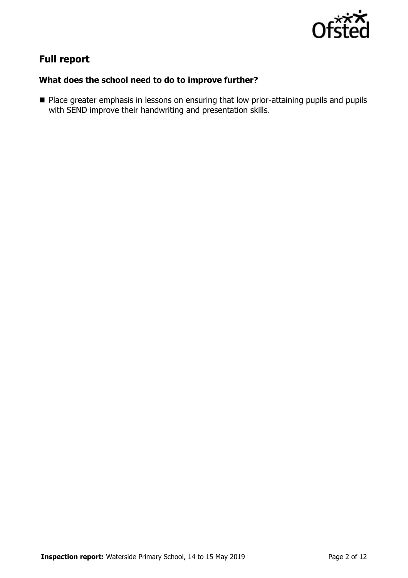

# **Full report**

### **What does the school need to do to improve further?**

**Place greater emphasis in lessons on ensuring that low prior-attaining pupils and pupils** with SEND improve their handwriting and presentation skills.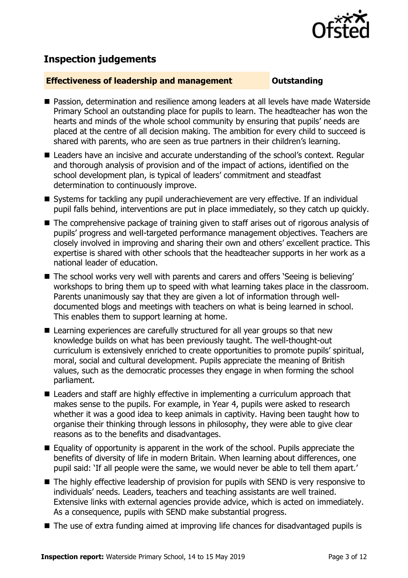

# **Inspection judgements**

#### **Effectiveness of leadership and management Constanding**

- Passion, determination and resilience among leaders at all levels have made Waterside Primary School an outstanding place for pupils to learn. The headteacher has won the hearts and minds of the whole school community by ensuring that pupils' needs are placed at the centre of all decision making. The ambition for every child to succeed is shared with parents, who are seen as true partners in their children's learning.
- Leaders have an incisive and accurate understanding of the school's context. Regular and thorough analysis of provision and of the impact of actions, identified on the school development plan, is typical of leaders' commitment and steadfast determination to continuously improve.
- Systems for tackling any pupil underachievement are very effective. If an individual pupil falls behind, interventions are put in place immediately, so they catch up quickly.
- The comprehensive package of training given to staff arises out of rigorous analysis of pupils' progress and well-targeted performance management objectives. Teachers are closely involved in improving and sharing their own and others' excellent practice. This expertise is shared with other schools that the headteacher supports in her work as a national leader of education.
- The school works very well with parents and carers and offers 'Seeing is believing' workshops to bring them up to speed with what learning takes place in the classroom. Parents unanimously say that they are given a lot of information through welldocumented blogs and meetings with teachers on what is being learned in school. This enables them to support learning at home.
- Learning experiences are carefully structured for all year groups so that new knowledge builds on what has been previously taught. The well-thought-out curriculum is extensively enriched to create opportunities to promote pupils' spiritual, moral, social and cultural development. Pupils appreciate the meaning of British values, such as the democratic processes they engage in when forming the school parliament.
- Leaders and staff are highly effective in implementing a curriculum approach that makes sense to the pupils. For example, in Year 4, pupils were asked to research whether it was a good idea to keep animals in captivity. Having been taught how to organise their thinking through lessons in philosophy, they were able to give clear reasons as to the benefits and disadvantages.
- $\blacksquare$  Equality of opportunity is apparent in the work of the school. Pupils appreciate the benefits of diversity of life in modern Britain. When learning about differences, one pupil said: 'If all people were the same, we would never be able to tell them apart.'
- The highly effective leadership of provision for pupils with SEND is very responsive to individuals' needs. Leaders, teachers and teaching assistants are well trained. Extensive links with external agencies provide advice, which is acted on immediately. As a consequence, pupils with SEND make substantial progress.
- The use of extra funding aimed at improving life chances for disadvantaged pupils is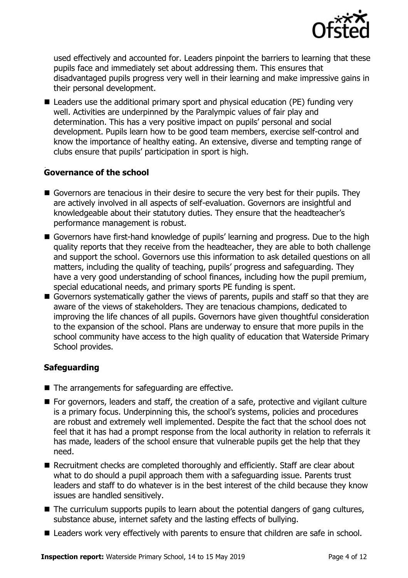

used effectively and accounted for. Leaders pinpoint the barriers to learning that these pupils face and immediately set about addressing them. This ensures that disadvantaged pupils progress very well in their learning and make impressive gains in their personal development.

 Leaders use the additional primary sport and physical education (PE) funding very well. Activities are underpinned by the Paralympic values of fair play and determination. This has a very positive impact on pupils' personal and social development. Pupils learn how to be good team members, exercise self-control and know the importance of healthy eating. An extensive, diverse and tempting range of clubs ensure that pupils' participation in sport is high.

#### . **Governance of the school**

- Governors are tenacious in their desire to secure the very best for their pupils. They are actively involved in all aspects of self-evaluation. Governors are insightful and knowledgeable about their statutory duties. They ensure that the headteacher's performance management is robust.
- Governors have first-hand knowledge of pupils' learning and progress. Due to the high quality reports that they receive from the headteacher, they are able to both challenge and support the school. Governors use this information to ask detailed questions on all matters, including the quality of teaching, pupils' progress and safeguarding. They have a very good understanding of school finances, including how the pupil premium, special educational needs, and primary sports PE funding is spent.
- Governors systematically gather the views of parents, pupils and staff so that they are aware of the views of stakeholders. They are tenacious champions, dedicated to improving the life chances of all pupils. Governors have given thoughtful consideration to the expansion of the school. Plans are underway to ensure that more pupils in the school community have access to the high quality of education that Waterside Primary School provides.

### **Safeguarding**

- $\blacksquare$  The arrangements for safeguarding are effective.
- For governors, leaders and staff, the creation of a safe, protective and vigilant culture is a primary focus. Underpinning this, the school's systems, policies and procedures are robust and extremely well implemented. Despite the fact that the school does not feel that it has had a prompt response from the local authority in relation to referrals it has made, leaders of the school ensure that vulnerable pupils get the help that they need.
- Recruitment checks are completed thoroughly and efficiently. Staff are clear about what to do should a pupil approach them with a safeguarding issue. Parents trust leaders and staff to do whatever is in the best interest of the child because they know issues are handled sensitively.
- The curriculum supports pupils to learn about the potential dangers of gang cultures, substance abuse, internet safety and the lasting effects of bullying.
- Leaders work very effectively with parents to ensure that children are safe in school.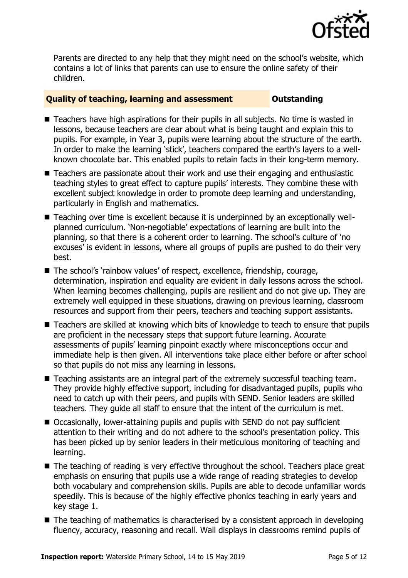

Parents are directed to any help that they might need on the school's website, which contains a lot of links that parents can use to ensure the online safety of their children.

#### **Quality of teaching, learning and assessment Outstanding**

- Teachers have high aspirations for their pupils in all subjects. No time is wasted in lessons, because teachers are clear about what is being taught and explain this to pupils. For example, in Year 3, pupils were learning about the structure of the earth. In order to make the learning 'stick', teachers compared the earth's layers to a wellknown chocolate bar. This enabled pupils to retain facts in their long-term memory.
- Teachers are passionate about their work and use their engaging and enthusiastic teaching styles to great effect to capture pupils' interests. They combine these with excellent subject knowledge in order to promote deep learning and understanding, particularly in English and mathematics.
- Teaching over time is excellent because it is underpinned by an exceptionally wellplanned curriculum. 'Non-negotiable' expectations of learning are built into the planning, so that there is a coherent order to learning. The school's culture of 'no excuses' is evident in lessons, where all groups of pupils are pushed to do their very best.
- The school's `rainbow values' of respect, excellence, friendship, courage, determination, inspiration and equality are evident in daily lessons across the school. When learning becomes challenging, pupils are resilient and do not give up. They are extremely well equipped in these situations, drawing on previous learning, classroom resources and support from their peers, teachers and teaching support assistants.
- Teachers are skilled at knowing which bits of knowledge to teach to ensure that pupils are proficient in the necessary steps that support future learning. Accurate assessments of pupils' learning pinpoint exactly where misconceptions occur and immediate help is then given. All interventions take place either before or after school so that pupils do not miss any learning in lessons.
- Teaching assistants are an integral part of the extremely successful teaching team. They provide highly effective support, including for disadvantaged pupils, pupils who need to catch up with their peers, and pupils with SEND. Senior leaders are skilled teachers. They guide all staff to ensure that the intent of the curriculum is met.
- Occasionally, lower-attaining pupils and pupils with SEND do not pay sufficient attention to their writing and do not adhere to the school's presentation policy. This has been picked up by senior leaders in their meticulous monitoring of teaching and learning.
- The teaching of reading is very effective throughout the school. Teachers place great emphasis on ensuring that pupils use a wide range of reading strategies to develop both vocabulary and comprehension skills. Pupils are able to decode unfamiliar words speedily. This is because of the highly effective phonics teaching in early years and key stage 1.
- The teaching of mathematics is characterised by a consistent approach in developing fluency, accuracy, reasoning and recall. Wall displays in classrooms remind pupils of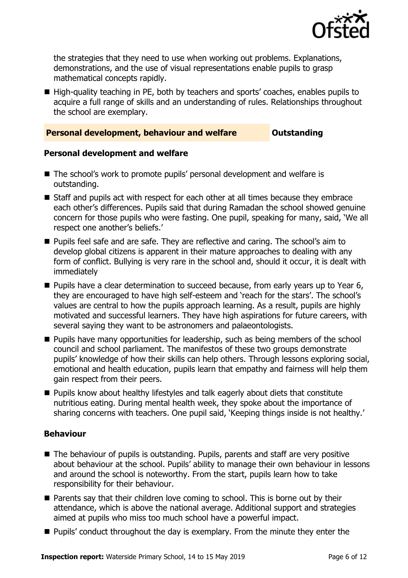

the strategies that they need to use when working out problems. Explanations, demonstrations, and the use of visual representations enable pupils to grasp mathematical concepts rapidly.

■ High-quality teaching in PE, both by teachers and sports' coaches, enables pupils to acquire a full range of skills and an understanding of rules. Relationships throughout the school are exemplary.

#### **Personal development, behaviour and welfare <b>COUTS** Outstanding

#### **Personal development and welfare**

- The school's work to promote pupils' personal development and welfare is outstanding.
- Staff and pupils act with respect for each other at all times because they embrace each other's differences. Pupils said that during Ramadan the school showed genuine concern for those pupils who were fasting. One pupil, speaking for many, said, 'We all respect one another's beliefs.'
- **Pupils feel safe and are safe. They are reflective and caring. The school's aim to** develop global citizens is apparent in their mature approaches to dealing with any form of conflict. Bullying is very rare in the school and, should it occur, it is dealt with immediately
- **Pupils have a clear determination to succeed because, from early years up to Year 6,** they are encouraged to have high self-esteem and 'reach for the stars'. The school's values are central to how the pupils approach learning. As a result, pupils are highly motivated and successful learners. They have high aspirations for future careers, with several saying they want to be astronomers and palaeontologists.
- **Pupils have many opportunities for leadership, such as being members of the school** council and school parliament. The manifestos of these two groups demonstrate pupils' knowledge of how their skills can help others. Through lessons exploring social, emotional and health education, pupils learn that empathy and fairness will help them gain respect from their peers.
- Pupils know about healthy lifestyles and talk eagerly about diets that constitute nutritious eating. During mental health week, they spoke about the importance of sharing concerns with teachers. One pupil said, 'Keeping things inside is not healthy.'

### **Behaviour**

- The behaviour of pupils is outstanding. Pupils, parents and staff are very positive about behaviour at the school. Pupils' ability to manage their own behaviour in lessons and around the school is noteworthy. From the start, pupils learn how to take responsibility for their behaviour.
- Parents say that their children love coming to school. This is borne out by their attendance, which is above the national average. Additional support and strategies aimed at pupils who miss too much school have a powerful impact.
- **Pupils'** conduct throughout the day is exemplary. From the minute they enter the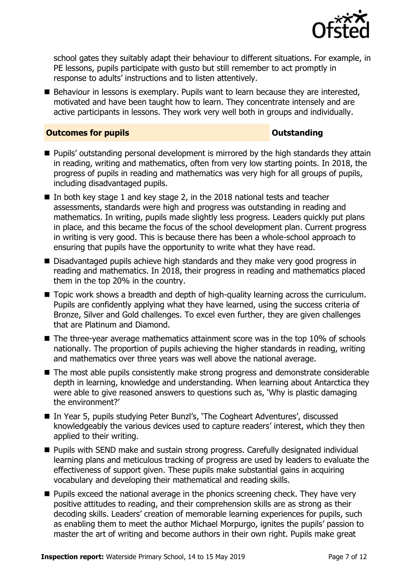

school gates they suitably adapt their behaviour to different situations. For example, in PE lessons, pupils participate with gusto but still remember to act promptly in response to adults' instructions and to listen attentively.

■ Behaviour in lessons is exemplary. Pupils want to learn because they are interested, motivated and have been taught how to learn. They concentrate intensely and are active participants in lessons. They work very well both in groups and individually.

#### **Outcomes for pupils Outstanding**

- **Pupils'** outstanding personal development is mirrored by the high standards they attain in reading, writing and mathematics, often from very low starting points. In 2018, the progress of pupils in reading and mathematics was very high for all groups of pupils, including disadvantaged pupils.
- In both key stage 1 and key stage 2, in the 2018 national tests and teacher assessments, standards were high and progress was outstanding in reading and mathematics. In writing, pupils made slightly less progress. Leaders quickly put plans in place, and this became the focus of the school development plan. Current progress in writing is very good. This is because there has been a whole-school approach to ensuring that pupils have the opportunity to write what they have read.
- Disadvantaged pupils achieve high standards and they make very good progress in reading and mathematics. In 2018, their progress in reading and mathematics placed them in the top 20% in the country.
- Topic work shows a breadth and depth of high-quality learning across the curriculum. Pupils are confidently applying what they have learned, using the success criteria of Bronze, Silver and Gold challenges. To excel even further, they are given challenges that are Platinum and Diamond.
- $\blacksquare$  The three-year average mathematics attainment score was in the top 10% of schools nationally. The proportion of pupils achieving the higher standards in reading, writing and mathematics over three years was well above the national average.
- The most able pupils consistently make strong progress and demonstrate considerable depth in learning, knowledge and understanding. When learning about Antarctica they were able to give reasoned answers to questions such as, 'Why is plastic damaging the environment?'
- In Year 5, pupils studying Peter Bunzl's, 'The Cogheart Adventures', discussed knowledgeably the various devices used to capture readers' interest, which they then applied to their writing.
- Pupils with SEND make and sustain strong progress. Carefully designated individual learning plans and meticulous tracking of progress are used by leaders to evaluate the effectiveness of support given. These pupils make substantial gains in acquiring vocabulary and developing their mathematical and reading skills.
- $\blacksquare$  Pupils exceed the national average in the phonics screening check. They have very positive attitudes to reading, and their comprehension skills are as strong as their decoding skills. Leaders' creation of memorable learning experiences for pupils, such as enabling them to meet the author Michael Morpurgo, ignites the pupils' passion to master the art of writing and become authors in their own right. Pupils make great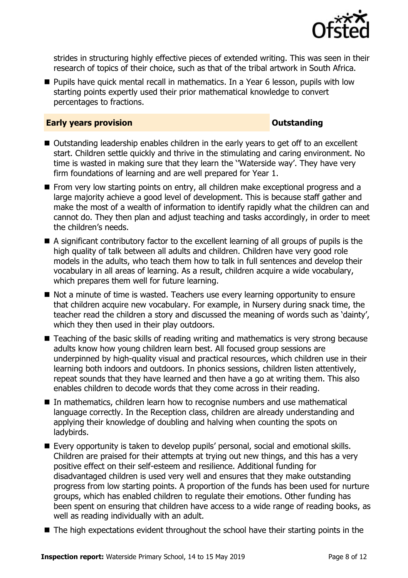

strides in structuring highly effective pieces of extended writing. This was seen in their research of topics of their choice, such as that of the tribal artwork in South Africa.

**Pupils have quick mental recall in mathematics. In a Year 6 lesson, pupils with low** starting points expertly used their prior mathematical knowledge to convert percentages to fractions.

#### **Early years provision CONSTANDING TO A RESEARCH CONSTANDING TO A RESEARCH CONSTANDING TO A RESEARCH CONSTANDING TO A RESEARCH CONSTANDING TO A RESEARCH CONSTANDING TO A RESEARCH CONSTANDING TO A RESEARCH CONSTANDING TO**

- Outstanding leadership enables children in the early years to get off to an excellent start. Children settle quickly and thrive in the stimulating and caring environment. No time is wasted in making sure that they learn the ''Waterside way'. They have very firm foundations of learning and are well prepared for Year 1.
- From very low starting points on entry, all children make exceptional progress and a large majority achieve a good level of development. This is because staff gather and make the most of a wealth of information to identify rapidly what the children can and cannot do. They then plan and adjust teaching and tasks accordingly, in order to meet the children's needs.
- A significant contributory factor to the excellent learning of all groups of pupils is the high quality of talk between all adults and children. Children have very good role models in the adults, who teach them how to talk in full sentences and develop their vocabulary in all areas of learning. As a result, children acquire a wide vocabulary, which prepares them well for future learning.
- Not a minute of time is wasted. Teachers use every learning opportunity to ensure that children acquire new vocabulary. For example, in Nursery during snack time, the teacher read the children a story and discussed the meaning of words such as 'dainty', which they then used in their play outdoors.
- Teaching of the basic skills of reading writing and mathematics is very strong because adults know how young children learn best. All focused group sessions are underpinned by high-quality visual and practical resources, which children use in their learning both indoors and outdoors. In phonics sessions, children listen attentively, repeat sounds that they have learned and then have a go at writing them. This also enables children to decode words that they come across in their reading.
- In mathematics, children learn how to recognise numbers and use mathematical language correctly. In the Reception class, children are already understanding and applying their knowledge of doubling and halving when counting the spots on ladybirds.
- Every opportunity is taken to develop pupils' personal, social and emotional skills. Children are praised for their attempts at trying out new things, and this has a very positive effect on their self-esteem and resilience. Additional funding for disadvantaged children is used very well and ensures that they make outstanding progress from low starting points. A proportion of the funds has been used for nurture groups, which has enabled children to regulate their emotions. Other funding has been spent on ensuring that children have access to a wide range of reading books, as well as reading individually with an adult.
- The high expectations evident throughout the school have their starting points in the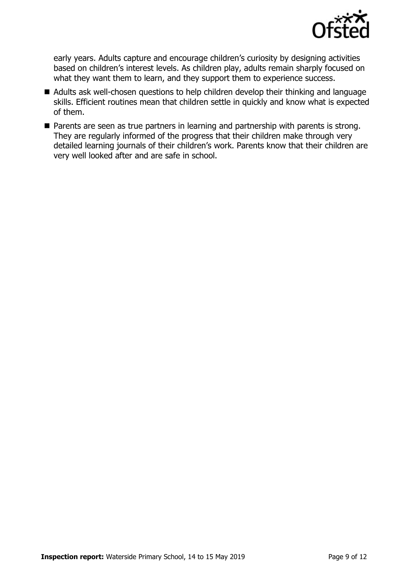

early years. Adults capture and encourage children's curiosity by designing activities based on children's interest levels. As children play, adults remain sharply focused on what they want them to learn, and they support them to experience success.

- Adults ask well-chosen questions to help children develop their thinking and language skills. Efficient routines mean that children settle in quickly and know what is expected of them.
- **Parents are seen as true partners in learning and partnership with parents is strong.** They are regularly informed of the progress that their children make through very detailed learning journals of their children's work. Parents know that their children are very well looked after and are safe in school.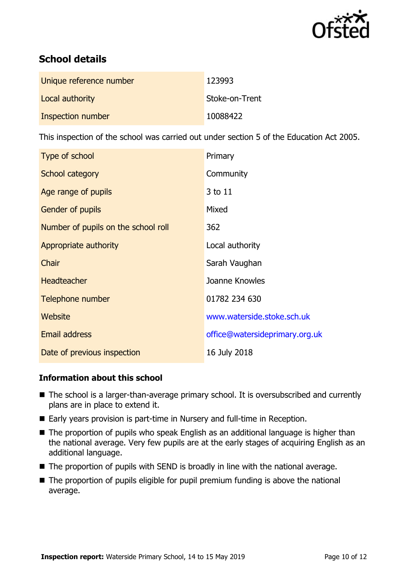

# **School details**

| Unique reference number | 123993         |
|-------------------------|----------------|
| Local authority         | Stoke-on-Trent |
| Inspection number       | 10088422       |

This inspection of the school was carried out under section 5 of the Education Act 2005.

| Type of school                      | Primary                        |
|-------------------------------------|--------------------------------|
| School category                     | Community                      |
| Age range of pupils                 | 3 to 11                        |
| <b>Gender of pupils</b>             | Mixed                          |
| Number of pupils on the school roll | 362                            |
| Appropriate authority               | Local authority                |
| Chair                               | Sarah Vaughan                  |
| <b>Headteacher</b>                  | Joanne Knowles                 |
| Telephone number                    | 01782 234 630                  |
| Website                             | www.waterside.stoke.sch.uk     |
| <b>Email address</b>                | office@watersideprimary.org.uk |
| Date of previous inspection         | 16 July 2018                   |

### **Information about this school**

- The school is a larger-than-average primary school. It is oversubscribed and currently plans are in place to extend it.
- Early years provision is part-time in Nursery and full-time in Reception.
- The proportion of pupils who speak English as an additional language is higher than the national average. Very few pupils are at the early stages of acquiring English as an additional language.
- $\blacksquare$  The proportion of pupils with SEND is broadly in line with the national average.
- The proportion of pupils eligible for pupil premium funding is above the national average.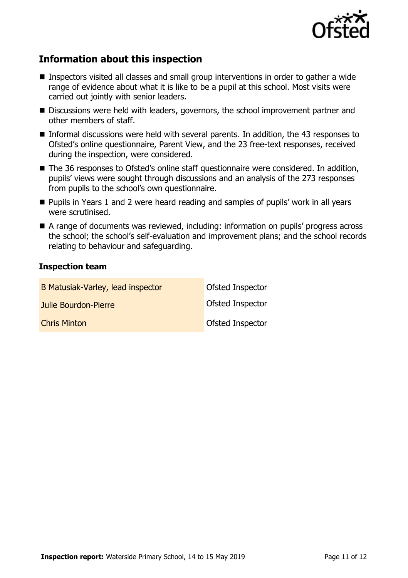

# **Information about this inspection**

- Inspectors visited all classes and small group interventions in order to gather a wide range of evidence about what it is like to be a pupil at this school. Most visits were carried out jointly with senior leaders.
- Discussions were held with leaders, governors, the school improvement partner and other members of staff.
- Informal discussions were held with several parents. In addition, the 43 responses to Ofsted's online questionnaire, Parent View, and the 23 free-text responses, received during the inspection, were considered.
- The 36 responses to Ofsted's online staff questionnaire were considered. In addition, pupils' views were sought through discussions and an analysis of the 273 responses from pupils to the school's own questionnaire.
- **Pupils in Years 1 and 2 were heard reading and samples of pupils' work in all years** were scrutinised.
- A range of documents was reviewed, including: information on pupils' progress across the school; the school's self-evaluation and improvement plans; and the school records relating to behaviour and safeguarding.

### **Inspection team**

| B Matusiak-Varley, lead inspector | Ofsted Inspector        |
|-----------------------------------|-------------------------|
| <b>Julie Bourdon-Pierre</b>       | <b>Ofsted Inspector</b> |
| <b>Chris Minton</b>               | <b>Ofsted Inspector</b> |